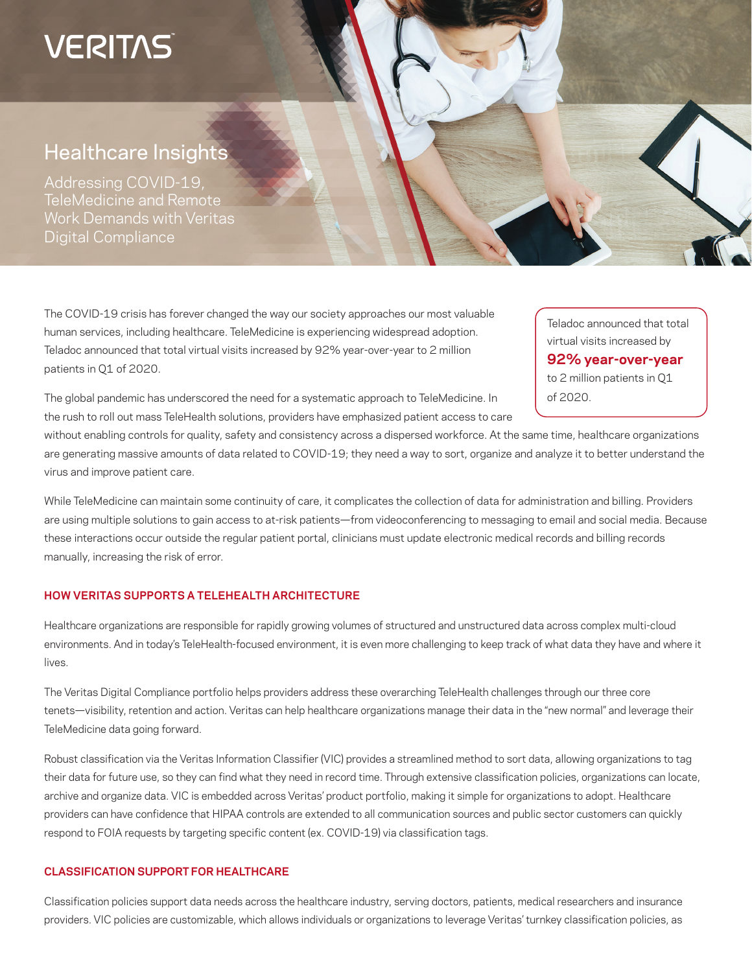# **VERITAS**

# Healthcare Insights

Addressing COVID-19, TeleMedicine and Remote Work Demands with Veritas Digital Compliance

The COVID-19 crisis has forever changed the way our society approaches our most valuable human services, including healthcare. TeleMedicine is experiencing widespread adoption. Teladoc announced that total virtual visits increased by 92% year-over-year to 2 million patients in Q1 of 2020.

The global pandemic has underscored the need for a systematic approach to TeleMedicine. In the rush to roll out mass TeleHealth solutions, providers have emphasized patient access to care

without enabling controls for quality, safety and consistency across a dispersed workforce. At the same time, healthcare organizations are generating massive amounts of data related to COVID-19; they need a way to sort, organize and analyze it to better understand the virus and improve patient care.

While TeleMedicine can maintain some continuity of care, it complicates the collection of data for administration and billing. Providers are using multiple solutions to gain access to at-risk patients—from videoconferencing to messaging to email and social media. Because these interactions occur outside the regular patient portal, clinicians must update electronic medical records and billing records manually, increasing the risk of error.

### **HOW VERITAS SUPPORTS A TELEHEALTH ARCHITECTURE**

Healthcare organizations are responsible for rapidly growing volumes of structured and unstructured data across complex multi-cloud environments. And in today's TeleHealth-focused environment, it is even more challenging to keep track of what data they have and where it lives.

The Veritas Digital Compliance portfolio helps providers address these overarching TeleHealth challenges through our three core tenets—visibility, retention and action. Veritas can help healthcare organizations manage their data in the "new normal" and leverage their TeleMedicine data going forward.

Robust classification via the Veritas Information Classifier (VIC) provides a streamlined method to sort data, allowing organizations to tag their data for future use, so they can find what they need in record time. Through extensive classification policies, organizations can locate, archive and organize data. VIC is embedded across Veritas' product portfolio, making it simple for organizations to adopt. Healthcare providers can have confidence that HIPAA controls are extended to all communication sources and public sector customers can quickly respond to FOIA requests by targeting specific content (ex. COVID-19) via classification tags.

#### **CLASSIFICATION SUPPORT FOR HEALTHCARE**

Classification policies support data needs across the healthcare industry, serving doctors, patients, medical researchers and insurance providers. VIC policies are customizable, which allows individuals or organizations to leverage Veritas' turnkey classification policies, as

Teladoc announced that total virtual visits increased by **92% year-over-year**  to 2 million patients in Q1 of 2020.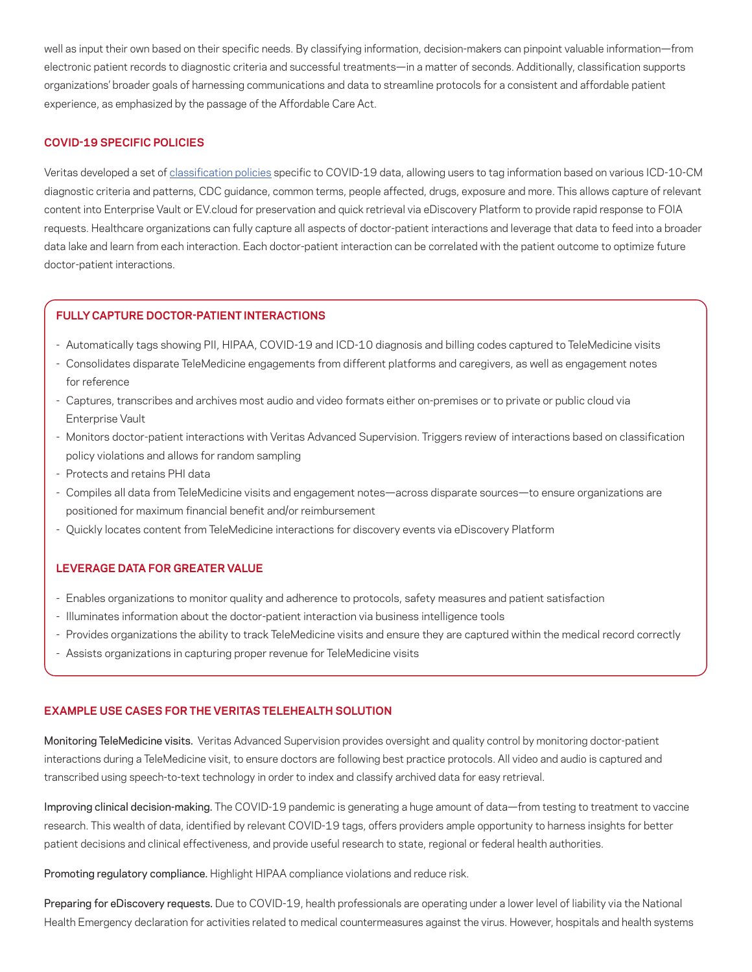well as input their own based on their specific needs. By classifying information, decision-makers can pinpoint valuable information—from electronic patient records to diagnostic criteria and successful treatments—in a matter of seconds. Additionally, classification supports organizations' broader goals of harnessing communications and data to streamline protocols for a consistent and affordable patient experience, as emphasized by the passage of the Affordable Care Act.

#### **COVID-19 SPECIFIC POLICIES**

Veritas developed a set of [classification policies](https://vox.veritas.com/t5/Classification-Policies-Group/COVID-19-policies/m-p/878499#M4) specific to COVID-19 data, allowing users to tag information based on various ICD-10-CM diagnostic criteria and patterns, CDC guidance, common terms, people affected, drugs, exposure and more. This allows capture of relevant content into Enterprise Vault or EV.cloud for preservation and quick retrieval via eDiscovery Platform to provide rapid response to FOIA requests. Healthcare organizations can fully capture all aspects of doctor-patient interactions and leverage that data to feed into a broader data lake and learn from each interaction. Each doctor-patient interaction can be correlated with the patient outcome to optimize future doctor-patient interactions.

#### **FULLY CAPTURE DOCTOR-PATIENT INTERACTIONS**

- Automatically tags showing PII, HIPAA, COVID-19 and ICD-10 diagnosis and billing codes captured to TeleMedicine visits
- Consolidates disparate TeleMedicine engagements from different platforms and caregivers, as well as engagement notes for reference
- Captures, transcribes and archives most audio and video formats either on-premises or to private or public cloud via Enterprise Vault
- Monitors doctor-patient interactions with Veritas Advanced Supervision. Triggers review of interactions based on classification policy violations and allows for random sampling
- Protects and retains PHI data
- Compiles all data from TeleMedicine visits and engagement notes—across disparate sources—to ensure organizations are positioned for maximum financial benefit and/or reimbursement
- Quickly locates content from TeleMedicine interactions for discovery events via eDiscovery Platform

#### **LEVERAGE DATA FOR GREATER VALUE**

- Enables organizations to monitor quality and adherence to protocols, safety measures and patient satisfaction
- Illuminates information about the doctor-patient interaction via business intelligence tools
- Provides organizations the ability to track TeleMedicine visits and ensure they are captured within the medical record correctly
- Assists organizations in capturing proper revenue for TeleMedicine visits

#### **EXAMPLE USE CASES FOR THE VERITAS TELEHEALTH SOLUTION**

Monitoring TeleMedicine visits. Veritas Advanced Supervision provides oversight and quality control by monitoring doctor-patient interactions during a TeleMedicine visit, to ensure doctors are following best practice protocols. All video and audio is captured and transcribed using speech-to-text technology in order to index and classify archived data for easy retrieval.

Improving clinical decision-making. The COVID-19 pandemic is generating a huge amount of data—from testing to treatment to vaccine research. This wealth of data, identified by relevant COVID-19 tags, offers providers ample opportunity to harness insights for better patient decisions and clinical effectiveness, and provide useful research to state, regional or federal health authorities.

Promoting regulatory compliance. Highlight HIPAA compliance violations and reduce risk.

Preparing for eDiscovery requests. Due to COVID-19, health professionals are operating under a lower level of liability via the National Health Emergency declaration for activities related to medical countermeasures against the virus. However, hospitals and health systems